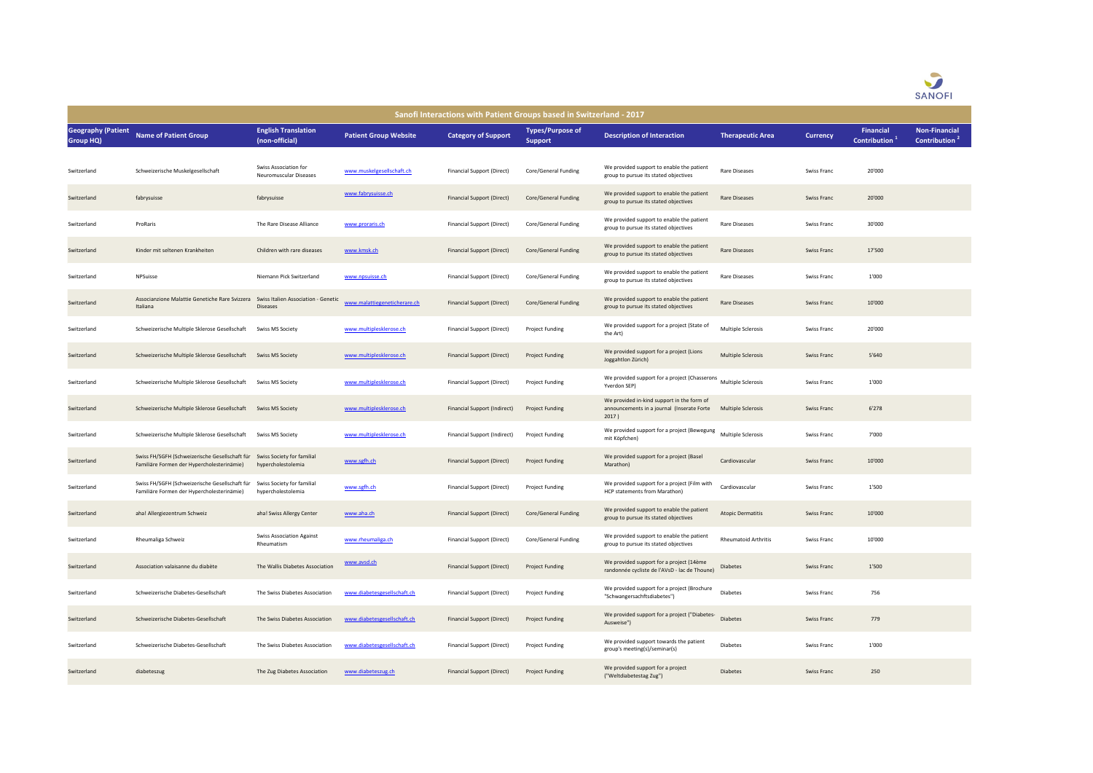

| Sanofi Interactions with Patient Groups based in Switzerland - 2017 |                                                                                                |                                                        |                              |                              |                                           |                                                                                                   |                           |                 |                                  |                                                   |  |  |
|---------------------------------------------------------------------|------------------------------------------------------------------------------------------------|--------------------------------------------------------|------------------------------|------------------------------|-------------------------------------------|---------------------------------------------------------------------------------------------------|---------------------------|-----------------|----------------------------------|---------------------------------------------------|--|--|
| <b>Geography (Patient</b><br>Group HQ)                              | <b>Name of Patient Group</b>                                                                   | <b>English Translation</b><br>(non-official)           | <b>Patient Group Website</b> | <b>Category of Support</b>   | <b>Types/Purpose of</b><br><b>Support</b> | <b>Description of Interaction</b>                                                                 | <b>Therapeutic Area</b>   | <b>Currency</b> | <b>Financial</b><br>Contribution | <b>Non-Financial</b><br>Contribution <sup>2</sup> |  |  |
| Switzerland                                                         | Schweizerische Muskelgesellschaft                                                              | Swiss Association for<br><b>Neuromuscular Diseases</b> | www.muskelgesellschaft.ch    | Financial Support (Direct)   | Core/General Funding                      | We provided support to enable the patient<br>group to pursue its stated objectives                | Rare Diseases             | Swiss Franc     | 20'000                           |                                                   |  |  |
| Switzerland                                                         | fabrysuisse                                                                                    | fabrysuisse                                            | www.fabrysuisse.ch           | Financial Support (Direct)   | Core/General Funding                      | We provided support to enable the patient<br>group to pursue its stated objectives                | Rare Diseases             | Swiss Franc     | 20'000                           |                                                   |  |  |
| Switzerland                                                         | ProRaris                                                                                       | The Rare Disease Alliance                              | www.proraris.ch              | Financial Support (Direct)   | Core/General Funding                      | We provided support to enable the patient<br>group to pursue its stated objectives                | Rare Diseases             | Swiss Franc     | 30'000                           |                                                   |  |  |
| Switzerland                                                         | Kinder mit seltenen Krankheiten                                                                | Children with rare diseases                            | www.kmsk.ch                  | Financial Support (Direct)   | Core/General Funding                      | We provided support to enable the patient<br>group to pursue its stated objectives                | Rare Diseases             | Swiss Franc     | 17'500                           |                                                   |  |  |
| Switzerland                                                         | NPSuisse                                                                                       | Niemann Pick Switzerland                               | www.npsuisse.ch              | Financial Support (Direct)   | Core/General Funding                      | We provided support to enable the patient<br>group to pursue its stated objectives                | Rare Diseases             | Swiss Franc     | 1'000                            |                                                   |  |  |
| Switzerland                                                         | Associanzione Malattie Genetiche Rare Svizzera Swiss Italien Association - Genetic<br>Italiana | <b>Diseases</b>                                        | www.malattiegeneticherare.ch | Financial Support (Direct)   | Core/General Funding                      | We provided support to enable the patient<br>group to pursue its stated objectives                | <b>Rare Diseases</b>      | Swiss Franc     | 10'000                           |                                                   |  |  |
| Switzerland                                                         | Schweizerische Multiple Sklerose Gesellschaft                                                  | Swiss MS Society                                       | www.multiplesklerose.ch      | Financial Support (Direct)   | Project Funding                           | We provided support for a project (State of<br>the Art)                                           | Multiple Sclerosis        | Swiss Franc     | 20'000                           |                                                   |  |  |
| Switzerland                                                         | Schweizerische Multiple Sklerose Gesellschaft Swiss MS Society                                 |                                                        | www.multiplesklerose.ch      | Financial Support (Direct)   | Project Funding                           | We provided support for a project (Lions<br>Joggahtlon Zürich)                                    | Multiple Sclerosis        | Swiss Franc     | 5'640                            |                                                   |  |  |
| Switzerland                                                         | Schweizerische Multiple Sklerose Gesellschaft                                                  | Swiss MS Society                                       | www.multiplesklerose.ch      | Financial Support (Direct)   | Project Funding                           | We provided support for a project (Chasserons Multiple Sclerosis<br>Yverdon SEP)                  |                           | Swiss Franc     | 1'000                            |                                                   |  |  |
| Switzerland                                                         | Schweizerische Multiple Sklerose Gesellschaft Swiss MS Society                                 |                                                        | www.multiplesklerose.ch      | Financial Support (Indirect) | <b>Project Funding</b>                    | We provided in-kind support in the form of<br>announcements in a journal (Inserate Forte<br>2017) | <b>Multiple Sclerosis</b> | Swiss Franc     | 6'278                            |                                                   |  |  |
| Switzerland                                                         | Schweizerische Multiple Sklerose Gesellschaft                                                  | Swiss MS Society                                       | www.multiplesklerose.ch      | Financial Support (Indirect) | Project Funding                           | We provided support for a project (Bewegung Multiple Sclerosis<br>mit Köpfchen)                   |                           | Swiss Franc     | 7'000                            |                                                   |  |  |
| Switzerland                                                         | Swiss FH/SGFH (Schweizerische Gesellschaft für<br>Familiäre Formen der Hypercholesterinämie)   | Swiss Society for familial<br>hypercholestolemia       | www.sgfh.ch                  | Financial Support (Direct)   | <b>Project Funding</b>                    | We provided support for a project (Basel<br>Marathon)                                             | Cardiovascular            | Swiss Franc     | 10'000                           |                                                   |  |  |
| Switzerland                                                         | Swiss FH/SGFH (Schweizerische Gesellschaft für<br>Familiäre Formen der Hypercholesterinämie)   | Swiss Society for familial<br>hypercholestolemia       | www.sgfh.ch                  | Financial Support (Direct)   | Project Funding                           | We provided support for a project (Film with<br>HCP statements from Marathon)                     | Cardiovascular            | Swiss Franc     | 1'500                            |                                                   |  |  |
| Switzerland                                                         | aha! Allergiezentrum Schweiz                                                                   | aha! Swiss Allergy Center                              | www.aha.ch                   | Financial Support (Direct)   | Core/General Funding                      | We provided support to enable the patient<br>group to pursue its stated objectives                | <b>Atopic Dermatitis</b>  | Swiss Franc     | 10'000                           |                                                   |  |  |
| Switzerland                                                         | Rheumaliga Schweiz                                                                             | <b>Swiss Association Against</b><br>Rheumatism         | www.rheumaliga.ch            | Financial Support (Direct)   | Core/General Funding                      | We provided support to enable the patient<br>group to pursue its stated objectives                | Rheumatoid Arthritis      | Swiss Franc     | 10'000                           |                                                   |  |  |
| Switzerland                                                         | Association valaisanne du diabète                                                              | The Wallis Diabetes Association                        | www.avsd.ch                  | Financial Support (Direct)   | Project Funding                           | We provided support for a project (14ème<br>randonnée cycliste de l'AVsD - lac de Thoune)         | <b>Diabetes</b>           | Swiss Franc     | 1'500                            |                                                   |  |  |
| Switzerland                                                         | Schweizerische Diabetes-Gesellschaft                                                           | The Swiss Diabetes Association                         | www.diabetesgesellschaft.ch  | Financial Support (Direct)   | Project Funding                           | We provided support for a project (Brochure<br>"Schwangersachftsdiabetes")                        | <b>Diabetes</b>           | Swiss Franc     | 756                              |                                                   |  |  |
| Switzerland                                                         | Schweizerische Diabetes-Gesellschaft                                                           | The Swiss Diabetes Association                         | www.diabetesgesellschaft.ch  | Financial Support (Direct)   | Project Funding                           | We provided support for a project ("Diabetes-<br>Ausweise")                                       | Diabetes                  | Swiss Franc     | 779                              |                                                   |  |  |
| Switzerland                                                         | Schweizerische Diabetes-Gesellschaft                                                           | The Swiss Diabetes Association                         | www.diabetesgesellschaft.ch  | Financial Support (Direct)   | Project Funding                           | We provided support towards the patient<br>group's meeting(s)/seminar(s)                          | <b>Diabetes</b>           | Swiss Franc     | 1'000                            |                                                   |  |  |
| Switzerland                                                         | diabeteszug                                                                                    | The Zug Diabetes Association                           | www.diabeteszug.ch           | Financial Support (Direct)   | <b>Project Funding</b>                    | We provided support for a project<br>("Weltdiabetestag Zug")                                      | <b>Diabetes</b>           | Swiss Franc     | 250                              |                                                   |  |  |